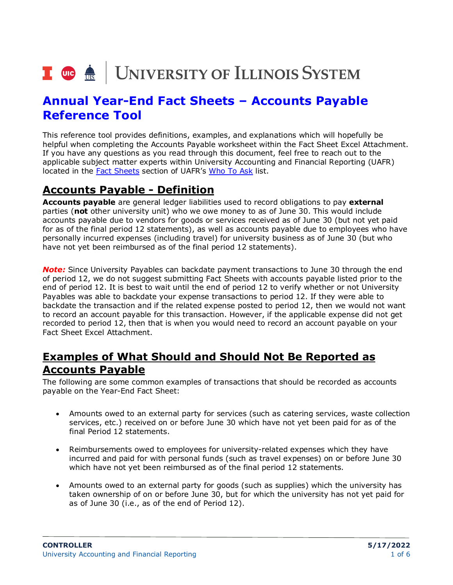# I **the detection of the SCS** SYSTEM

# **Annual Year-End Fact Sheets – Accounts Payable Reference Tool**

This reference tool provides definitions, examples, and explanations which will hopefully be helpful when completing the Accounts Payable worksheet within the Fact Sheet Excel Attachment. If you have any questions as you read through this document, feel free to reach out to the applicable subject matter experts within University Accounting and Financial Reporting (UAFR) located in the [Fact Sheets](https://www.obfs.uillinois.edu/accounting-financial-reporting/who-to-ask/types-questions#fact-sheets) section of UAFR's [Who To Ask](https://www.obfs.uillinois.edu/accounting-financial-reporting/who-to-ask/types-questions) list.

## **Accounts Payable - Definition**

**Accounts payable** are general ledger liabilities used to record obligations to pay **external** parties (**not** other university unit) who we owe money to as of June 30. This would include accounts payable due to vendors for goods or services received as of June 30 (but not yet paid for as of the final period 12 statements), as well as accounts payable due to employees who have personally incurred expenses (including travel) for university business as of June 30 (but who have not yet been reimbursed as of the final period 12 statements).

*Note:* Since University Payables can backdate payment transactions to June 30 through the end of period 12, we do not suggest submitting Fact Sheets with accounts payable listed prior to the end of period 12. It is best to wait until the end of period 12 to verify whether or not University Payables was able to backdate your expense transactions to period 12. If they were able to backdate the transaction and if the related expense posted to period 12, then we would not want to record an account payable for this transaction. However, if the applicable expense did not get recorded to period 12, then that is when you would need to record an account payable on your Fact Sheet Excel Attachment.

## **Examples of What Should and Should Not Be Reported as Accounts Payable**

The following are some common examples of transactions that should be recorded as accounts payable on the Year-End Fact Sheet:

- Amounts owed to an external party for services (such as catering services, waste collection services, etc.) received on or before June 30 which have not yet been paid for as of the final Period 12 statements.
- Reimbursements owed to employees for university-related expenses which they have incurred and paid for with personal funds (such as travel expenses) on or before June 30 which have not yet been reimbursed as of the final period 12 statements.
- Amounts owed to an external party for goods (such as supplies) which the university has taken ownership of on or before June 30, but for which the university has not yet paid for as of June 30 (i.e., as of the end of Period 12).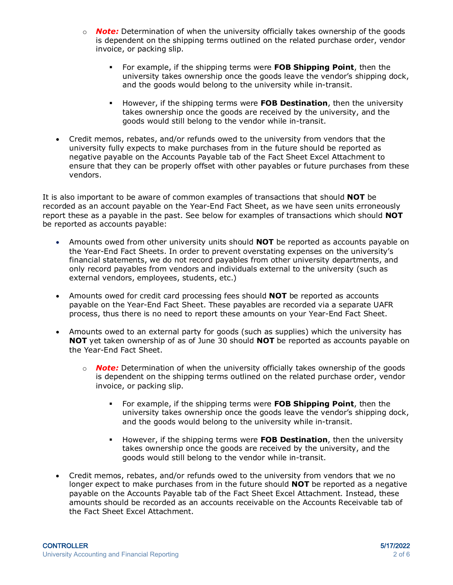- o *Note:* Determination of when the university officially takes ownership of the goods is dependent on the shipping terms outlined on the related purchase order, vendor invoice, or packing slip.
	- For example, if the shipping terms were **FOB Shipping Point**, then the university takes ownership once the goods leave the vendor's shipping dock, and the goods would belong to the university while in-transit.
	- However, if the shipping terms were **FOB Destination**, then the university takes ownership once the goods are received by the university, and the goods would still belong to the vendor while in-transit.
- Credit memos, rebates, and/or refunds owed to the university from vendors that the university fully expects to make purchases from in the future should be reported as negative payable on the Accounts Payable tab of the Fact Sheet Excel Attachment to ensure that they can be properly offset with other payables or future purchases from these vendors.

It is also important to be aware of common examples of transactions that should **NOT** be recorded as an account payable on the Year-End Fact Sheet, as we have seen units erroneously report these as a payable in the past. See below for examples of transactions which should **NOT**  be reported as accounts payable:

- Amounts owed from other university units should **NOT** be reported as accounts payable on the Year-End Fact Sheets. In order to prevent overstating expenses on the university's financial statements, we do not record payables from other university departments, and only record payables from vendors and individuals external to the university (such as external vendors, employees, students, etc.)
- Amounts owed for credit card processing fees should **NOT** be reported as accounts payable on the Year-End Fact Sheet. These payables are recorded via a separate UAFR process, thus there is no need to report these amounts on your Year-End Fact Sheet.
- Amounts owed to an external party for goods (such as supplies) which the university has **NOT** yet taken ownership of as of June 30 should **NOT** be reported as accounts payable on the Year-End Fact Sheet.
	- o *Note:* Determination of when the university officially takes ownership of the goods is dependent on the shipping terms outlined on the related purchase order, vendor invoice, or packing slip.
		- For example, if the shipping terms were **FOB Shipping Point**, then the university takes ownership once the goods leave the vendor's shipping dock, and the goods would belong to the university while in-transit.
		- However, if the shipping terms were **FOB Destination**, then the university takes ownership once the goods are received by the university, and the goods would still belong to the vendor while in-transit.
- Credit memos, rebates, and/or refunds owed to the university from vendors that we no longer expect to make purchases from in the future should **NOT** be reported as a negative payable on the Accounts Payable tab of the Fact Sheet Excel Attachment. Instead, these amounts should be recorded as an accounts receivable on the Accounts Receivable tab of the Fact Sheet Excel Attachment.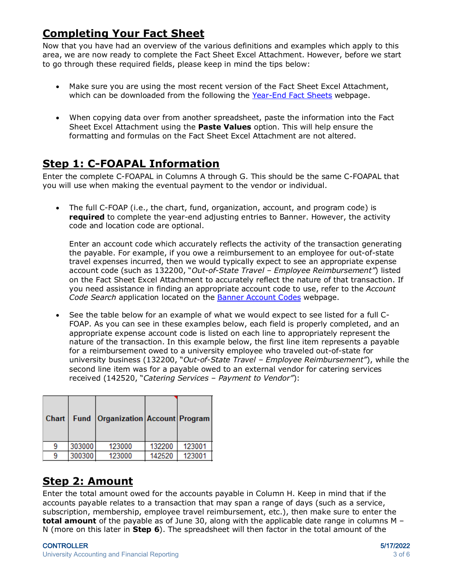# **Completing Your Fact Sheet**

Now that you have had an overview of the various definitions and examples which apply to this area, we are now ready to complete the Fact Sheet Excel Attachment. However, before we start to go through these required fields, please keep in mind the tips below:

- Make sure you are using the most recent version of the Fact Sheet Excel Attachment, which can be downloaded from the following the [Year-End Fact Sheets](https://www.obfs.uillinois.edu/accounting-financial-reporting/year-end-procedures/fact-sheets/) webpage.
- When copying data over from another spreadsheet, paste the information into the Fact Sheet Excel Attachment using the **Paste Values** option. This will help ensure the formatting and formulas on the Fact Sheet Excel Attachment are not altered.

## **Step 1: C-FOAPAL Information**

Enter the complete C-FOAPAL in Columns A through G. This should be the same C-FOAPAL that you will use when making the eventual payment to the vendor or individual.

• The full C-FOAP (i.e., the chart, fund, organization, account, and program code) is **required** to complete the year-end adjusting entries to Banner. However, the activity code and location code are optional.

Enter an account code which accurately reflects the activity of the transaction generating the payable. For example, if you owe a reimbursement to an employee for out-of-state travel expenses incurred, then we would typically expect to see an appropriate expense account code (such as 132200, "*Out-of-State Travel – Employee Reimbursement"*) listed on the Fact Sheet Excel Attachment to accurately reflect the nature of that transaction. If you need assistance in finding an appropriate account code to use, refer to the *Account Code Search* application located on the [Banner Account Codes](https://www.obfs.uillinois.edu/accounting-financial-reporting/banner-account-codes/) webpage.

• See the table below for an example of what we would expect to see listed for a full C-FOAP. As you can see in these examples below, each field is properly completed, and an appropriate expense account code is listed on each line to appropriately represent the nature of the transaction. In this example below, the first line item represents a payable for a reimbursement owed to a university employee who traveled out-of-state for university business (132200, "*Out-of-State Travel – Employee Reimbursement"*), while the second line item was for a payable owed to an external vendor for catering services received (142520, "*Catering Services – Payment to Vendor"*):

| Chart |        | Fund   Organization   Account   Program |        |        |
|-------|--------|-----------------------------------------|--------|--------|
|       | 303000 | 123000                                  | 132200 | 123001 |
|       | 300300 | 123000                                  | 142520 | 123001 |
|       |        |                                         |        |        |

## **Step 2: Amount**

Enter the total amount owed for the accounts payable in Column H. Keep in mind that if the accounts payable relates to a transaction that may span a range of days (such as a service, subscription, membership, employee travel reimbursement, etc.), then make sure to enter the **total amount** of the payable as of June 30, along with the applicable date range in columns M – N (more on this later in **Step 6**). The spreadsheet will then factor in the total amount of the

#### CONTROLLER 5/17/2022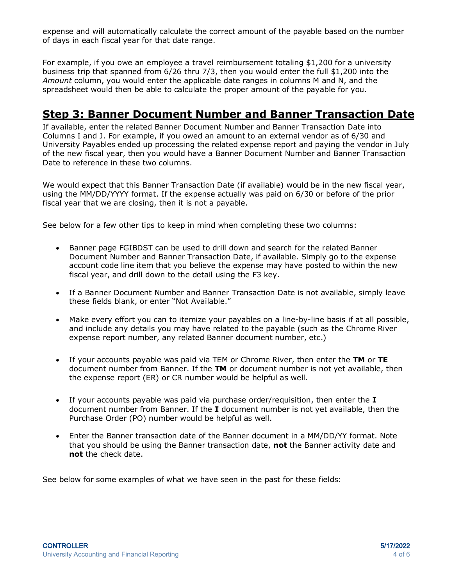expense and will automatically calculate the correct amount of the payable based on the number of days in each fiscal year for that date range.

For example, if you owe an employee a travel reimbursement totaling \$1,200 for a university business trip that spanned from 6/26 thru 7/3, then you would enter the full \$1,200 into the *Amount* column, you would enter the applicable date ranges in columns M and N, and the spreadsheet would then be able to calculate the proper amount of the payable for you.

### **Step 3: Banner Document Number and Banner Transaction Date**

If available, enter the related Banner Document Number and Banner Transaction Date into Columns I and J. For example, if you owed an amount to an external vendor as of 6/30 and University Payables ended up processing the related expense report and paying the vendor in July of the new fiscal year, then you would have a Banner Document Number and Banner Transaction Date to reference in these two columns.

We would expect that this Banner Transaction Date (if available) would be in the new fiscal year, using the MM/DD/YYYY format. If the expense actually was paid on 6/30 or before of the prior fiscal year that we are closing, then it is not a payable.

See below for a few other tips to keep in mind when completing these two columns:

- Banner page FGIBDST can be used to drill down and search for the related Banner Document Number and Banner Transaction Date, if available. Simply go to the expense account code line item that you believe the expense may have posted to within the new fiscal year, and drill down to the detail using the F3 key.
- If a Banner Document Number and Banner Transaction Date is not available, simply leave these fields blank, or enter "Not Available."
- Make every effort you can to itemize your payables on a line-by-line basis if at all possible, and include any details you may have related to the payable (such as the Chrome River expense report number, any related Banner document number, etc.)
- If your accounts payable was paid via TEM or Chrome River, then enter the **TM** or **TE** document number from Banner. If the **TM** or document number is not yet available, then the expense report (ER) or CR number would be helpful as well.
- If your accounts payable was paid via purchase order/requisition, then enter the **I** document number from Banner. If the **I** document number is not yet available, then the Purchase Order (PO) number would be helpful as well.
- Enter the Banner transaction date of the Banner document in a MM/DD/YY format. Note that you should be using the Banner transaction date, **not** the Banner activity date and **not** the check date.

See below for some examples of what we have seen in the past for these fields: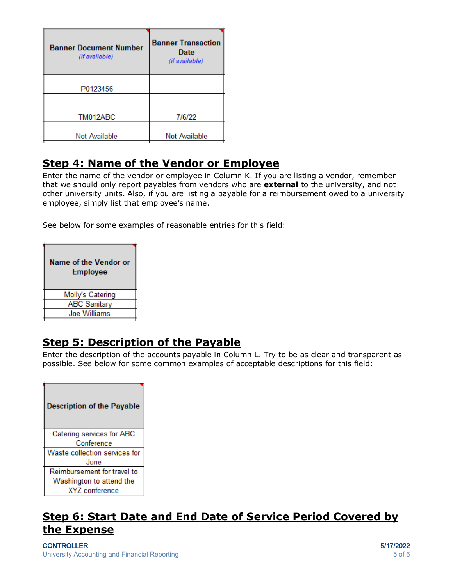| <b>Banner Document Number</b><br>(if available) | <b>Banner Transaction</b><br>Date<br>(if available) |
|-------------------------------------------------|-----------------------------------------------------|
| P0123456                                        |                                                     |
|                                                 |                                                     |
| TM012ABC                                        | 7/6/22                                              |
|                                                 |                                                     |
| Not Available                                   | <b>Not Available</b>                                |

## **Step 4: Name of the Vendor or Employee**

Enter the name of the vendor or employee in Column K. If you are listing a vendor, remember that we should only report payables from vendors who are **external** to the university, and not other university units. Also, if you are listing a payable for a reimbursement owed to a university employee, simply list that employee's name.

See below for some examples of reasonable entries for this field:

| <b>Name of the Vendor or</b><br><b>Employee</b> |
|-------------------------------------------------|
| Molly's Catering                                |
| <b>ABC Sanitary</b>                             |
| <b>Joe Williams</b>                             |

## **Step 5: Description of the Payable**

Enter the description of the accounts payable in Column L. Try to be as clear and transparent as possible. See below for some common examples of acceptable descriptions for this field:

| <b>Description of the Payable</b> |
|-----------------------------------|
| Catering services for ABC         |
| Conference                        |
| Waste collection services for     |
| June                              |
| Reimbursement for travel to       |
| Washington to attend the          |
| XYZ conference                    |

## **Step 6: Start Date and End Date of Service Period Covered by the Expense**